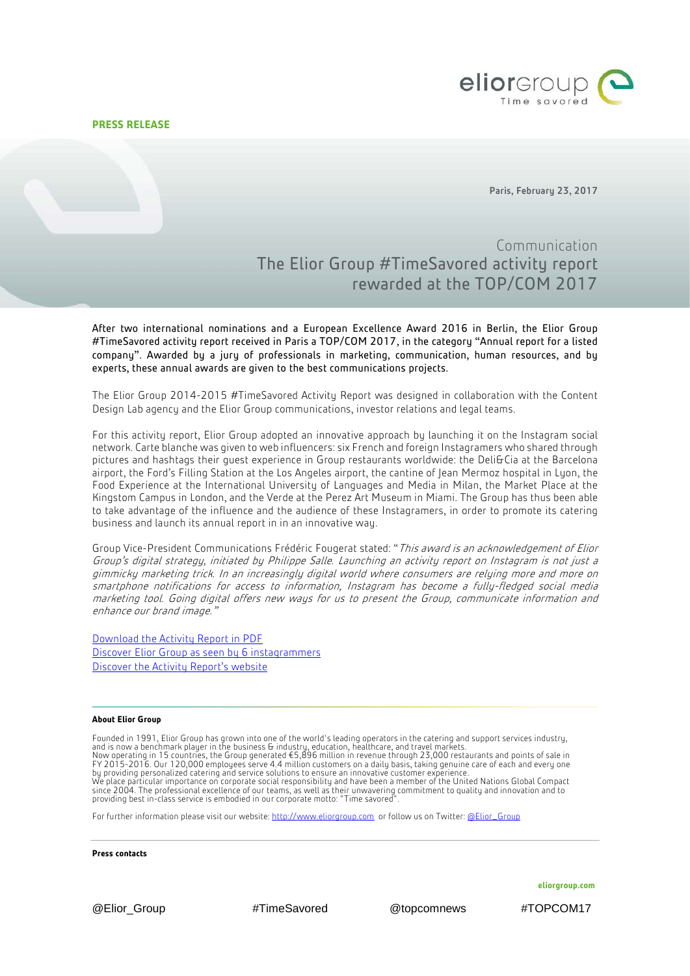**PRESS RELEASE**



Paris, February 23, 2017

## Communication The Elior Group #TimeSavored activity report rewarded at the TOP/COM 2017

After two international nominations and a European Excellence Award 2016 in Berlin, the Elior Group #TimeSavored activity report received in Paris a TOP/COM 2017, in the category "Annual report for a listed company". Awarded by a jury of professionals in marketing, communication, human resources, and by experts, these annual awards are given to the best communications projects.

The Elior Group 2014-2015 #TimeSavored Activity Report was designed in collaboration with the Content Design Lab agency and the Elior Group communications, investor relations and legal teams.

For this activity report, Elior Group adopted an innovative approach by launching it on the Instagram social network. Carte blanche was given to web influencers: six French and foreign Instagramers who shared through pictures and hashtags their guest experience in Group restaurants worldwide: the Deli&Cia at the Barcelona airport, the Ford's Filling Station at the Los Angeles airport, the cantine of Jean Mermoz hospital in Lyon, the Food Experience at the International University of Languages and Media in Milan, the Market Place at the Kingstom Campus in London, and the Verde at the Perez Art Museum in Miami. The Group has thus been able to take advantage of the influence and the audience of these Instagramers, in order to promote its catering business and launch its annual report in in an innovative way.

Group Vice-President Communications Frédéric Fougerat stated: "This award is an acknowledgement of Elior Group's digital strategy, initiated by Philippe Salle. Launching an activity report on Instagram is not just a gimmicky marketing trick. In an increasingly digital world where consumers are relying more and more on smartphone notifications for access to information, Instagram has become a fully-fledged social media marketing tool. Going digital offers new ways for us to present the Group, communicate information and enhance our brand image."

[Download the Activity Report in PDF](http://www.eliorgroup.com/sites/default/files/2014-15-elior-group-activity-report-en.pdf) [Discover Elior Group](http://activity-report-1415.eliorgroup.com/en/time-savored/) as seen by 6 instagrammers [Discover the Activity](http://activity-report-1415.eliorgroup.com/en/time-savored/) Report's website

## **About Elior Group**

Founded in 1991, Elior Group has grown into one of the world's leading operators in the catering and support services industry, and is now a benchmark player in the business & industry, education, healthcare, and travel markets.<br>Now operating in 15 countries, the Group generated €5,896 million in revenue through 23,000 restaurants and points of sa by providing personalized catering and service solutions to ensure an innovative customer experience.<br>We place particular importance on corporate social responsibility and have been a member of the United Nations Global Co

For further information please visit our website[: http://www.eliorgroup.com](http://www.eliorgroup.com/) or follow us on Twitter[: @Elior\\_Group](https://twitter.com/Elior_Group)

**Press contacts**

**eliorgroup.com**

@Elior\_Group #TimeSavored @topcomnews #TOPCOM17